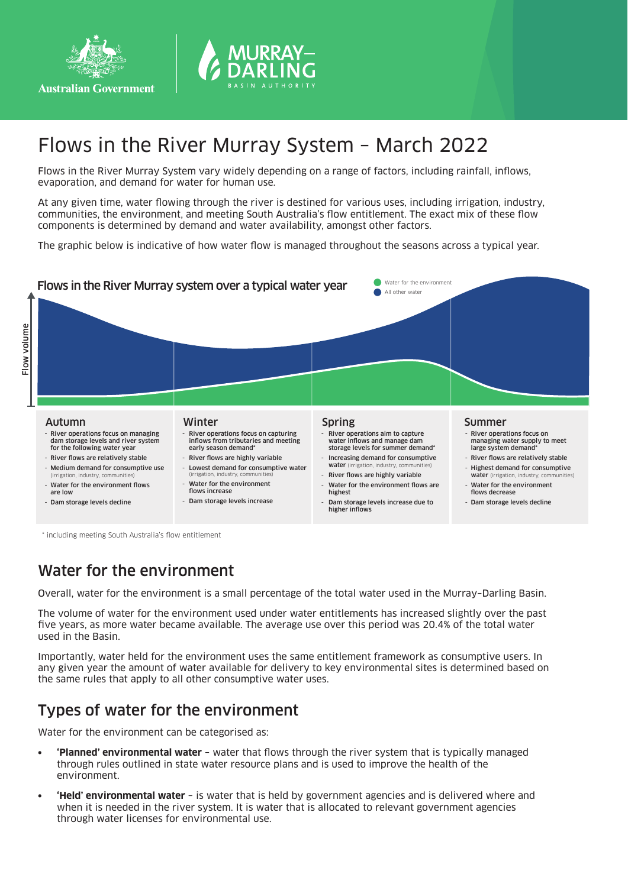



# Flows in the River Murray System – March 2022

Flows in the River Murray System vary widely depending on a range of factors, including rainfall, inflows, evaporation, and demand for water for human use.

At any given time, water flowing through the river is destined for various uses, including irrigation, industry, communities, the environment, and meeting South Australia's flow entitlement. The exact mix of these flow components is determined by demand and water availability, amongst other factors.

The graphic below is indicative of how water flow is managed throughout the seasons across a typical year.



\* including meeting South Australia's flow entitlement

### Water for the environment

Overall, water for the environment is a small percentage of the total water used in the Murray–Darling Basin.

The volume of water for the environment used under water entitlements has increased slightly over the past five years, as more water became available. The average use over this period was 20.4% of the total water used in the Basin.

Importantly, water held for the environment uses the same entitlement framework as consumptive users. In any given year the amount of water available for delivery to key environmental sites is determined based on the same rules that apply to all other consumptive water uses.

### Types of water for the environment

Water for the environment can be categorised as:

- **• 'Planned' environmental water** water that flows through the river system that is typically managed through rules outlined in state water resource plans and is used to improve the health of the environment.
- **• 'Held' environmental water** is water that is held by government agencies and is delivered where and when it is needed in the river system. It is water that is allocated to relevant government agencies through water licenses for environmental use.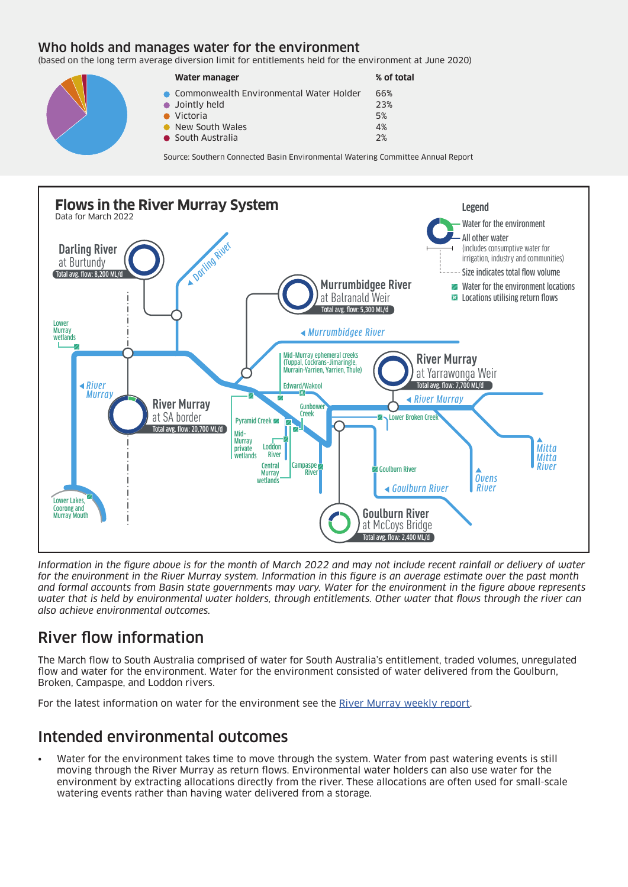#### Who holds and manages water for the environment

(based on the long term average diversion limit for entitlements held for the environment at June 2020)

| Water manager                             | % of total |
|-------------------------------------------|------------|
| • Commonwealth Environmental Water Holder | 66%        |
| • Jointly held                            | 23%        |
| $\bullet$ Victoria                        | 5%         |
| • New South Wales                         | 4%         |
| • South Australia                         | 2%         |

Source: Southern Connected Basin Environmental Watering Committee Annual Report



*Information in the figure above is for the month of March 2022 and may not include recent rainfall or delivery of water for the environment in the River Murray system. Information in this figure is an average estimate over the past month and formal accounts from Basin state governments may vary. Water for the environment in the figure above represents water that is held by environmental water holders, through entitlements. Other water that flows through the river can also achieve environmental outcomes.*

## River flow information

The March flow to South Australia comprised of water for South Australia's entitlement, traded volumes, unregulated flow and water for the environment. Water for the environment consisted of water delivered from the Goulburn, Broken, Campaspe, and Loddon rivers.

For the latest information on water for the environment see the River Murray weekly report.

### Intended environmental outcomes

• Water for the environment takes time to move through the system. Water from past watering events is still moving through the River Murray as return flows. Environmental water holders can also use water for the environment by extracting allocations directly from the river. These allocations are often used for small-scale watering events rather than having water delivered from a storage.